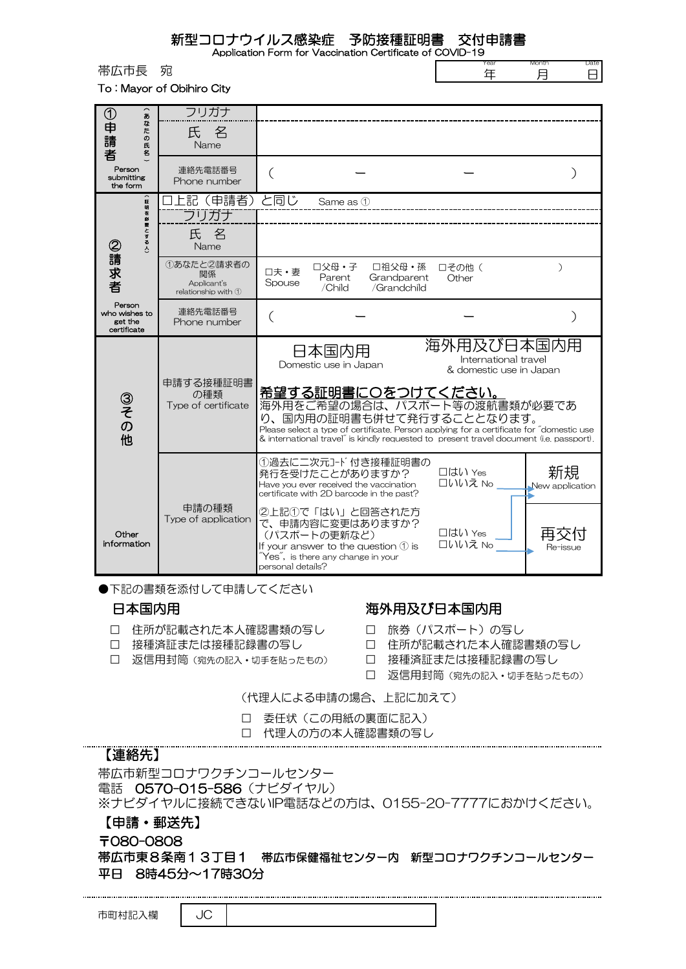新型コロナウイルス感染症 予防接種証明書 交付申請書

年

Month 月 Date 日

Application Form for Vaccination Certificate of COVID-19

|      |   | 'ear |
|------|---|------|
| 帯広市長 | 宛 |      |
|      |   |      |

To : Mayor of Obihiro City

| $\sim$<br>$^\copyright$<br>$\boldsymbol{x}$<br>$\overline{a}$ | フリガナ                                                                    |                                                                                                                                                                                                                                                                               |                                                               |
|---------------------------------------------------------------|-------------------------------------------------------------------------|-------------------------------------------------------------------------------------------------------------------------------------------------------------------------------------------------------------------------------------------------------------------------------|---------------------------------------------------------------|
| )申請<br>た<br>$\boldsymbol{\sigma}$<br>氏<br>者<br>名              | 氏名<br>Name                                                              |                                                                                                                                                                                                                                                                               |                                                               |
| Person<br>submitting<br>the form                              | 連絡先電話番号<br>Phone number                                                 |                                                                                                                                                                                                                                                                               |                                                               |
| 証明を必<br>要とする人)<br>②請求者                                        | 上記(申請者)<br>フリガナ                                                         | と同じ<br>Same as 1                                                                                                                                                                                                                                                              |                                                               |
|                                                               | 氏名<br>Name                                                              |                                                                                                                                                                                                                                                                               |                                                               |
|                                                               | 1あなたと2請求者の<br>関係<br>Applicant's<br>relationship with 1                  | 口父母・子<br>口祖父母·孫<br>□その他(<br>口夫·妻<br>Parent<br>Grandparent<br>Other<br>Spouse<br>/Child<br>/Grandchild                                                                                                                                                                         | $\mathcal{L}$                                                 |
| Person<br>who wishes to<br>get the<br>certificate             | 連絡先電話番号<br>Phone number                                                 |                                                                                                                                                                                                                                                                               |                                                               |
| ③その他<br>Other<br>information                                  | 申請する接種証明書<br>の種類<br>Type of certificate<br>申請の種類<br>Type of application | 日本国内用<br>Domestic use in Japan                                                                                                                                                                                                                                                | 海外用及び日本国内用<br>International travel<br>& domestic use in Japan |
|                                                               |                                                                         | <u>希望する証明書に〇をつけてください。</u><br>海外用をご希望の場合は、パスポート等の渡航書類が必要であ<br>り、国内用の証明書も併せて発行することとなります。<br>Please select a type of certificate. Person applying for a certificate for "domestic use<br>& international travel" is kindly requested to present travel document (i.e. passport). |                                                               |
|                                                               |                                                                         | ①過去に二次元コード付き接種証明書の<br>□はい Yes<br>発行を受けたことがありますか?<br>□いいえ No<br>Have you ever received the vaccination<br>certificate with 2D barcode in the past?                                                                                                                             | 新規<br>New application                                         |
|                                                               |                                                                         | ②上記①で「はい」と回答された方<br>で、申請内容に変更はありますか?<br>$\Box$ $\Box$ $\Box$ $\lor$ $\lor$ $\lor$ $\lor$<br>(パスポートの更新など)<br>□いいえ No<br>If your answer to the question $\mathcal D$ is<br>$\tilde{\ }$ Yes $\tilde{\ }$ , is there any change in your<br>personal details?                     | Re-issue                                                      |

●下記の書類を添付して申請してください

- □ 住所が記載された本人確認書類の写し □ 旅券 (パスポート) の写し
- 
- □ 返信用封筒(宛先の記入・切手を貼ったもの) □ 接種済証または接種記録書の写し

## 日本国内用 インファイン 海外用及び日本国内用

- 
- □ 接種済証または接種記録書の写し □ 白 住所が記載された本人確認書類の写し
	-
	- □ 返信用封筒(宛先の記入・切手を貼ったもの)

(代理人による申請の場合、上記に加えて)

- □ 委任状(この用紙の裏面に記入)
- □ 代理人の方の本人確認書類の写し

## 【連絡先】

帯広市新型コロナワクチンコールセンター 電話 0570-015-586 (ナビダイヤル) ※ナビダイヤルに接続できないIP電話などの方は、0155-20-7777におかけください。 【申請・郵送先】 〒080-0808

## 帯広市東8条南13丁目1 帯広市保健福祉センター内 新型コロナワクチンコールセンター 平日 8時45分~17時30分